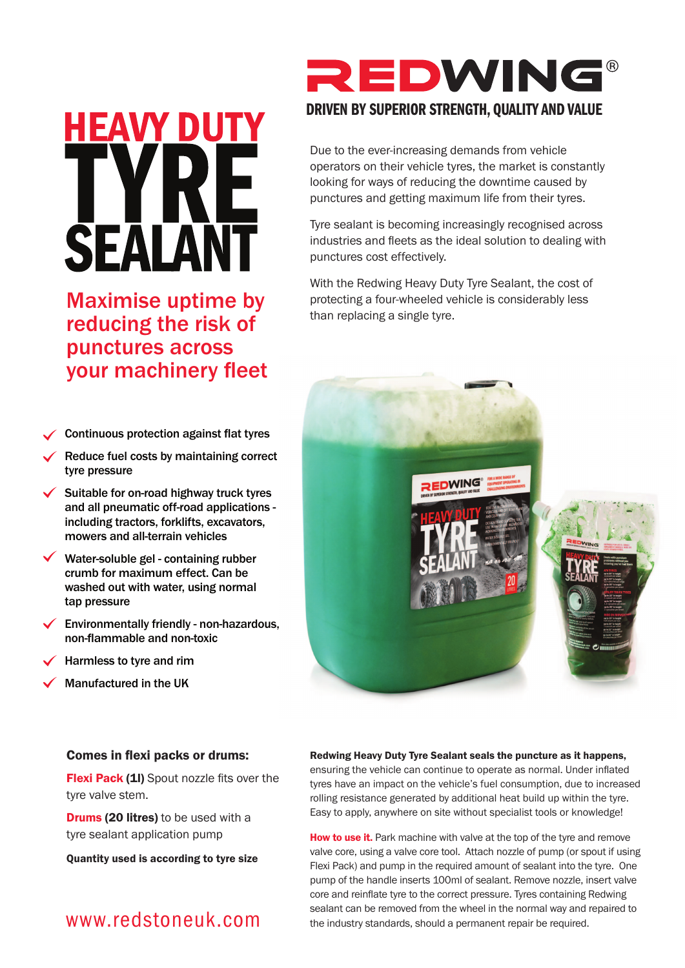# HEAVY DU **SEALA**

Maximise uptime by reducing the risk of punctures across your machinery fleet

- Continuous protection against flat tyres
- Reduce fuel costs by maintaining correct tyre pressure
- $\checkmark$  Suitable for on-road highway truck tyres and all pneumatic off-road applications including tractors, forklifts, excavators, mowers and all-terrain vehicles
- Water-soluble gel containing rubber crumb for maximum effect. Can be washed out with water, using normal tap pressure
- Environmentally friendly non-hazardous, non-flammable and non-toxic
- Harmless to tyre and rim
- Manufactured in the UK

# REDWING

## **DRIVEN BY SUPERIOR STRENGTH, QUALITY AND VALUE**

Due to the ever-increasing demands from vehicle operators on their vehicle tyres, the market is constantly looking for ways of reducing the downtime caused by punctures and getting maximum life from their tyres.

Tyre sealant is becoming increasingly recognised across industries and fleets as the ideal solution to dealing with punctures cost effectively.

With the Redwing Heavy Duty Tyre Sealant, the cost of protecting a four-wheeled vehicle is considerably less than replacing a single tyre.



#### Comes in flexi packs or drums:

Flexi Pack (1I) Spout nozzle fits over the tyre valve stem.

**Drums (20 litres)** to be used with a tyre sealant application pump

Quantity used is according to tyre size

# www.redstoneuk.com

#### Redwing Heavy Duty Tyre Sealant seals the puncture as it happens,

ensuring the vehicle can continue to operate as normal. Under inflated tyres have an impact on the vehicle's fuel consumption, due to increased rolling resistance generated by additional heat build up within the tyre. Easy to apply, anywhere on site without specialist tools or knowledge!

How to use it. Park machine with valve at the top of the tyre and remove valve core, using a valve core tool. Attach nozzle of pump (or spout if using Flexi Pack) and pump in the required amount of sealant into the tyre. One pump of the handle inserts 100ml of sealant. Remove nozzle, insert valve core and reinflate tyre to the correct pressure. Tyres containing Redwing sealant can be removed from the wheel in the normal way and repaired to the industry standards, should a permanent repair be required.